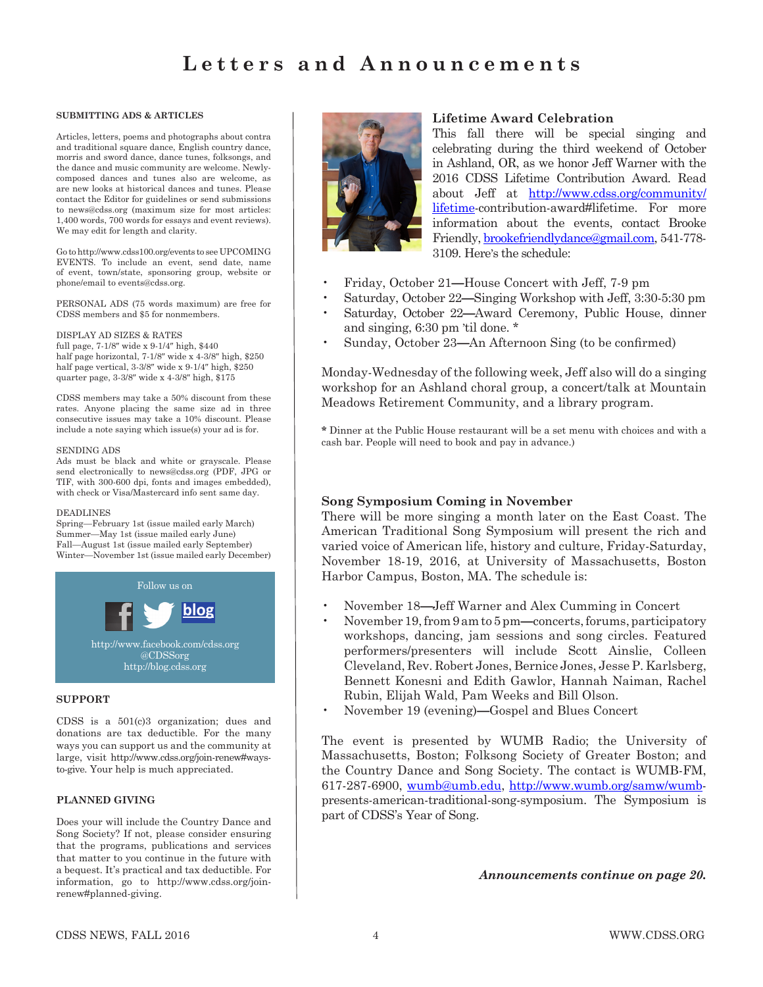### **SUBMITTING ADS & ARTICLES**

Articles, letters, poems and photographs about contra and traditional square dance, English country dance, morris and sword dance, dance tunes, folksongs, and the dance and music community are welcome. Newlycomposed dances and tunes also are welcome, as are new looks at historical dances and tunes. Please contact the Editor for guidelines or send submissions to news@cdss.org (maximum size for most articles: 1,400 words, 700 words for essays and event reviews). We may edit for length and clarity.

Go to http://www.cdss100.org/events to see UPCOMING EVENTS. To include an event, send date, name of event, town/state, sponsoring group, website or phone/email to events@cdss.org.

PERSONAL ADS (75 words maximum) are free for CDSS members and \$5 for nonmembers.

#### DISPLAY AD SIZES & RATES

full page, 7-1/8″ wide x 9-1/4″ high, \$440 half page horizontal, 7-1/8″ wide x 4-3/8″ high, \$250 half page vertical, 3-3/8″ wide x 9-1/4″ high, \$250 quarter page, 3-3/8″ wide x 4-3/8″ high, \$175

CDSS members may take a 50% discount from these rates. Anyone placing the same size ad in three consecutive issues may take a 10% discount. Please include a note saying which issue(s) your ad is for.

#### SENDING ADS

Ads must be black and white or grayscale. Please send electronically to news@cdss.org (PDF, JPG or TIF, with 300-600 dpi, fonts and images embedded), with check or Visa/Mastercard info sent same day.

#### DEADLINES

Spring—February 1st (issue mailed early March) Summer—May 1st (issue mailed early June) Fall—August 1st (issue mailed early September) Winter—November 1st (issue mailed early December)



#### **SUPPORT**

CDSS is a 501(c)3 organization; dues and donations are tax deductible. For the many ways you can support us and the community at large, visit http://www.cdss.org/join-renew#waysto-give. Your help is much appreciated.

#### **PLANNED GIVING**

Does your will include the Country Dance and Song Society? If not, please consider ensuring that the programs, publications and services that matter to you continue in the future with a bequest. It's practical and tax deductible. For information, go to http://www.cdss.org/joinrenew#planned-giving.



### **Lifetime Award Celebration**

This fall there will be special singing and celebrating during the third weekend of October in Ashland, OR, as we honor Jeff Warner with the 2016 CDSS Lifetime Contribution Award. Read about Jeff at http://www.cdss.org/community/ lifetime-contribution-award#lifetime. For more information about the events, contact Brooke Friendly, brookefriendlydance@gmail.com, 541-778- 3109. Here's the schedule:

- Friday, October 21**—**House Concert with Jeff, 7-9 pm
	- Saturday, October 22**—**Singing Workshop with Jeff, 3:30-5:30 pm
- Saturday, October 22**—**Award Ceremony, Public House, dinner and singing, 6:30 pm 'til done. \*
- Sunday, October 23**—**An Afternoon Sing (to be confirmed)

Monday-Wednesday of the following week, Jeff also will do a singing workshop for an Ashland choral group, a concert/talk at Mountain Meadows Retirement Community, and a library program.

**\*** Dinner at the Public House restaurant will be a set menu with choices and with a cash bar. People will need to book and pay in advance.)

### **Song Symposium Coming in November**

There will be more singing a month later on the East Coast. The American Traditional Song Symposium will present the rich and varied voice of American life, history and culture, Friday-Saturday, November 18-19, 2016, at University of Massachusetts, Boston Harbor Campus, Boston, MA. The schedule is:

- November 18**—**Jeff Warner and Alex Cumming in Concert
- November 19, from 9 am to 5 pm**—**concerts, forums, participatory workshops, dancing, jam sessions and song circles. Featured performers/presenters will include Scott Ainslie, Colleen Cleveland, Rev. Robert Jones, Bernice Jones, Jesse P. Karlsberg, Bennett Konesni and Edith Gawlor, Hannah Naiman, Rachel Rubin, Elijah Wald, Pam Weeks and Bill Olson.
- November 19 (evening)**—**Gospel and Blues Concert

The event is presented by WUMB Radio; the University of Massachusetts, Boston; Folksong Society of Greater Boston; and the Country Dance and Song Society. The contact is WUMB-FM, 617-287-6900, wumb@umb.edu, http://www.wumb.org/samw/wumbpresents-american-traditional-song-symposium. The Symposium is part of CDSS's Year of Song.

*Announcements continue on page 20.*